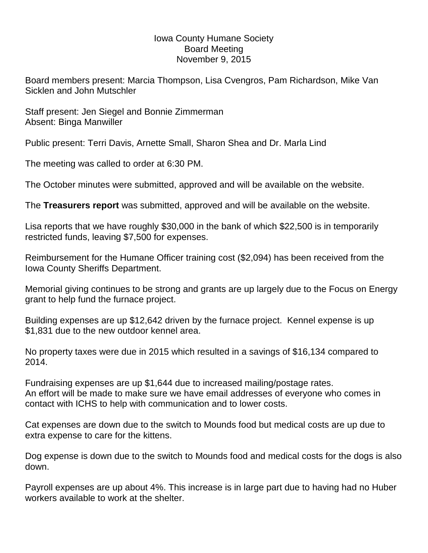## Iowa County Humane Society Board Meeting November 9, 2015

Board members present: Marcia Thompson, Lisa Cvengros, Pam Richardson, Mike Van Sicklen and John Mutschler

Staff present: Jen Siegel and Bonnie Zimmerman Absent: Binga Manwiller

Public present: Terri Davis, Arnette Small, Sharon Shea and Dr. Marla Lind

The meeting was called to order at 6:30 PM.

The October minutes were submitted, approved and will be available on the website.

The **Treasurers report** was submitted, approved and will be available on the website.

Lisa reports that we have roughly \$30,000 in the bank of which \$22,500 is in temporarily restricted funds, leaving \$7,500 for expenses.

Reimbursement for the Humane Officer training cost (\$2,094) has been received from the Iowa County Sheriffs Department.

Memorial giving continues to be strong and grants are up largely due to the Focus on Energy grant to help fund the furnace project.

Building expenses are up \$12,642 driven by the furnace project. Kennel expense is up \$1,831 due to the new outdoor kennel area.

No property taxes were due in 2015 which resulted in a savings of \$16,134 compared to 2014.

Fundraising expenses are up \$1,644 due to increased mailing/postage rates. An effort will be made to make sure we have email addresses of everyone who comes in contact with ICHS to help with communication and to lower costs.

Cat expenses are down due to the switch to Mounds food but medical costs are up due to extra expense to care for the kittens.

Dog expense is down due to the switch to Mounds food and medical costs for the dogs is also down.

Payroll expenses are up about 4%. This increase is in large part due to having had no Huber workers available to work at the shelter.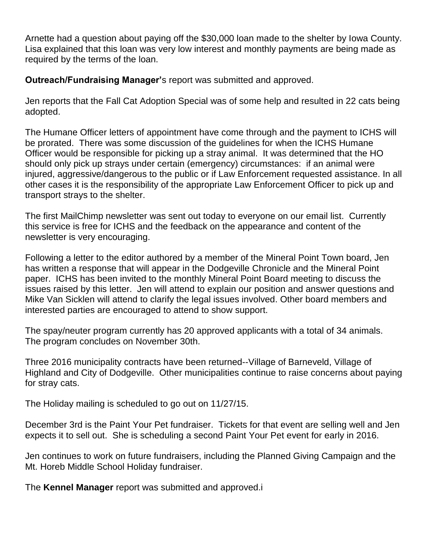Arnette had a question about paying off the \$30,000 loan made to the shelter by Iowa County. Lisa explained that this loan was very low interest and monthly payments are being made as required by the terms of the loan.

**Outreach/Fundraising Manager'**s report was submitted and approved.

Jen reports that the Fall Cat Adoption Special was of some help and resulted in 22 cats being adopted.

The Humane Officer letters of appointment have come through and the payment to ICHS will be prorated. There was some discussion of the guidelines for when the ICHS Humane Officer would be responsible for picking up a stray animal. It was determined that the HO should only pick up strays under certain (emergency) circumstances: if an animal were injured, aggressive/dangerous to the public or if Law Enforcement requested assistance. In all other cases it is the responsibility of the appropriate Law Enforcement Officer to pick up and transport strays to the shelter.

The first MailChimp newsletter was sent out today to everyone on our email list. Currently this service is free for ICHS and the feedback on the appearance and content of the newsletter is very encouraging.

Following a letter to the editor authored by a member of the Mineral Point Town board, Jen has written a response that will appear in the Dodgeville Chronicle and the Mineral Point paper. ICHS has been invited to the monthly Mineral Point Board meeting to discuss the issues raised by this letter. Jen will attend to explain our position and answer questions and Mike Van Sicklen will attend to clarify the legal issues involved. Other board members and interested parties are encouraged to attend to show support.

The spay/neuter program currently has 20 approved applicants with a total of 34 animals. The program concludes on November 30th.

Three 2016 municipality contracts have been returned--Village of Barneveld, Village of Highland and City of Dodgeville. Other municipalities continue to raise concerns about paying for stray cats.

The Holiday mailing is scheduled to go out on 11/27/15.

December 3rd is the Paint Your Pet fundraiser. Tickets for that event are selling well and Jen expects it to sell out. She is scheduling a second Paint Your Pet event for early in 2016.

Jen continues to work on future fundraisers, including the Planned Giving Campaign and the Mt. Horeb Middle School Holiday fundraiser.

The **Kennel Manager** report was submitted and approved.i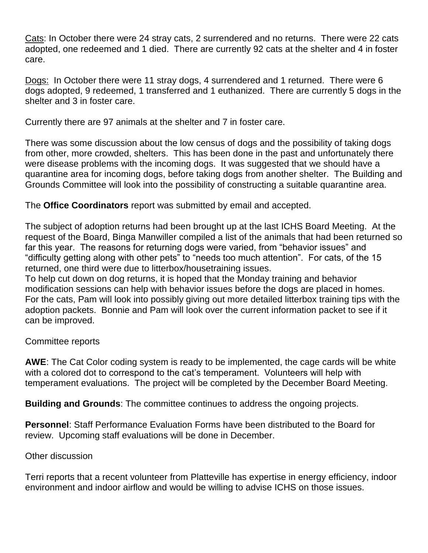Cats: In October there were 24 stray cats, 2 surrendered and no returns. There were 22 cats adopted, one redeemed and 1 died. There are currently 92 cats at the shelter and 4 in foster care.

Dogs: In October there were 11 stray dogs, 4 surrendered and 1 returned. There were 6 dogs adopted, 9 redeemed, 1 transferred and 1 euthanized. There are currently 5 dogs in the shelter and 3 in foster care.

Currently there are 97 animals at the shelter and 7 in foster care.

There was some discussion about the low census of dogs and the possibility of taking dogs from other, more crowded, shelters. This has been done in the past and unfortunately there were disease problems with the incoming dogs. It was suggested that we should have a quarantine area for incoming dogs, before taking dogs from another shelter. The Building and Grounds Committee will look into the possibility of constructing a suitable quarantine area.

The **Office Coordinators** report was submitted by email and accepted.

The subject of adoption returns had been brought up at the last ICHS Board Meeting. At the request of the Board, Binga Manwiller compiled a list of the animals that had been returned so far this year. The reasons for returning dogs were varied, from "behavior issues" and "difficulty getting along with other pets" to "needs too much attention". For cats, of the 15 returned, one third were due to litterbox/housetraining issues.

To help cut down on dog returns, it is hoped that the Monday training and behavior modification sessions can help with behavior issues before the dogs are placed in homes. For the cats, Pam will look into possibly giving out more detailed litterbox training tips with the adoption packets. Bonnie and Pam will look over the current information packet to see if it can be improved.

Committee reports

**AWE**: The Cat Color coding system is ready to be implemented, the cage cards will be white with a colored dot to correspond to the cat's temperament. Volunteers will help with temperament evaluations. The project will be completed by the December Board Meeting.

**Building and Grounds**: The committee continues to address the ongoing projects.

**Personnel**: Staff Performance Evaluation Forms have been distributed to the Board for review. Upcoming staff evaluations will be done in December.

## Other discussion

Terri reports that a recent volunteer from Platteville has expertise in energy efficiency, indoor environment and indoor airflow and would be willing to advise ICHS on those issues.